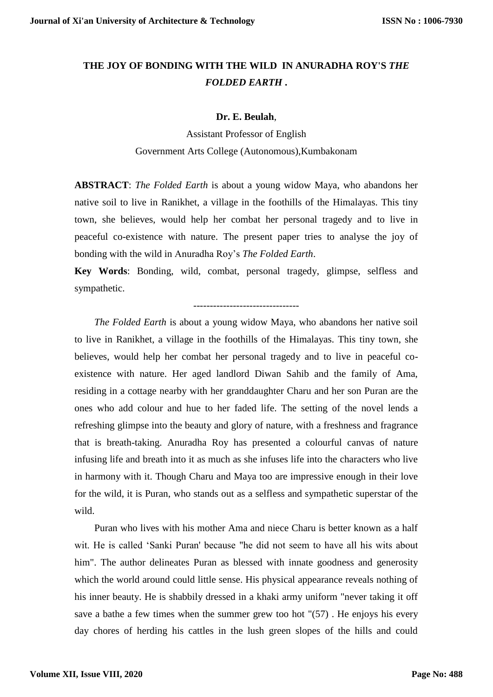## **THE JOY OF BONDING WITH THE WILD IN ANURADHA ROY'S** *THE FOLDED EARTH* **.**

## **Dr. E. Beulah**,

Assistant Professor of English Government Arts College (Autonomous),Kumbakonam

**ABSTRACT**: *The Folded Earth* is about a young widow Maya, who abandons her native soil to live in Ranikhet, a village in the foothills of the Himalayas. This tiny town, she believes, would help her combat her personal tragedy and to live in peaceful co-existence with nature. The present paper tries to analyse the joy of bonding with the wild in Anuradha Roy's *The Folded Earth*.

**Key Words**: Bonding, wild, combat, personal tragedy, glimpse, selfless and sympathetic.

--------------------------------

*The Folded Earth* is about a young widow Maya, who abandons her native soil to live in Ranikhet, a village in the foothills of the Himalayas. This tiny town, she believes, would help her combat her personal tragedy and to live in peaceful coexistence with nature. Her aged landlord Diwan Sahib and the family of Ama, residing in a cottage nearby with her granddaughter Charu and her son Puran are the ones who add colour and hue to her faded life. The setting of the novel lends a refreshing glimpse into the beauty and glory of nature, with a freshness and fragrance that is breath-taking. Anuradha Roy has presented a colourful canvas of nature infusing life and breath into it as much as she infuses life into the characters who live in harmony with it. Though Charu and Maya too are impressive enough in their love for the wild, it is Puran, who stands out as a selfless and sympathetic superstar of the wild.

Puran who lives with his mother Ama and niece Charu is better known as a half wit. He is called 'Sanki Puran' because "he did not seem to have all his wits about him". The author delineates Puran as blessed with innate goodness and generosity which the world around could little sense. His physical appearance reveals nothing of his inner beauty. He is shabbily dressed in a khaki army uniform "never taking it off save a bathe a few times when the summer grew too hot "(57) . He enjoys his every day chores of herding his cattles in the lush green slopes of the hills and could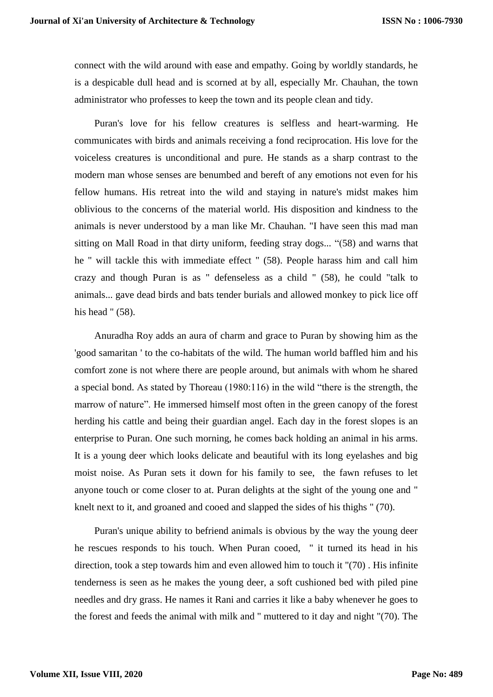connect with the wild around with ease and empathy. Going by worldly standards, he is a despicable dull head and is scorned at by all, especially Mr. Chauhan, the town administrator who professes to keep the town and its people clean and tidy.

Puran's love for his fellow creatures is selfless and heart-warming. He communicates with birds and animals receiving a fond reciprocation. His love for the voiceless creatures is unconditional and pure. He stands as a sharp contrast to the modern man whose senses are benumbed and bereft of any emotions not even for his fellow humans. His retreat into the wild and staying in nature's midst makes him oblivious to the concerns of the material world. His disposition and kindness to the animals is never understood by a man like Mr. Chauhan. "I have seen this mad man sitting on Mall Road in that dirty uniform, feeding stray dogs... "(58) and warns that he " will tackle this with immediate effect " (58). People harass him and call him crazy and though Puran is as " defenseless as a child " (58), he could "talk to animals... gave dead birds and bats tender burials and allowed monkey to pick lice off his head " (58).

Anuradha Roy adds an aura of charm and grace to Puran by showing him as the 'good samaritan ' to the co-habitats of the wild. The human world baffled him and his comfort zone is not where there are people around, but animals with whom he shared a special bond. As stated by Thoreau (1980:116) in the wild "there is the strength, the marrow of nature". He immersed himself most often in the green canopy of the forest herding his cattle and being their guardian angel. Each day in the forest slopes is an enterprise to Puran. One such morning, he comes back holding an animal in his arms. It is a young deer which looks delicate and beautiful with its long eyelashes and big moist noise. As Puran sets it down for his family to see, the fawn refuses to let anyone touch or come closer to at. Puran delights at the sight of the young one and " knelt next to it, and groaned and cooed and slapped the sides of his thighs " (70).

Puran's unique ability to befriend animals is obvious by the way the young deer he rescues responds to his touch. When Puran cooed, " it turned its head in his direction, took a step towards him and even allowed him to touch it "(70) . His infinite tenderness is seen as he makes the young deer, a soft cushioned bed with piled pine needles and dry grass. He names it Rani and carries it like a baby whenever he goes to the forest and feeds the animal with milk and " muttered to it day and night "(70). The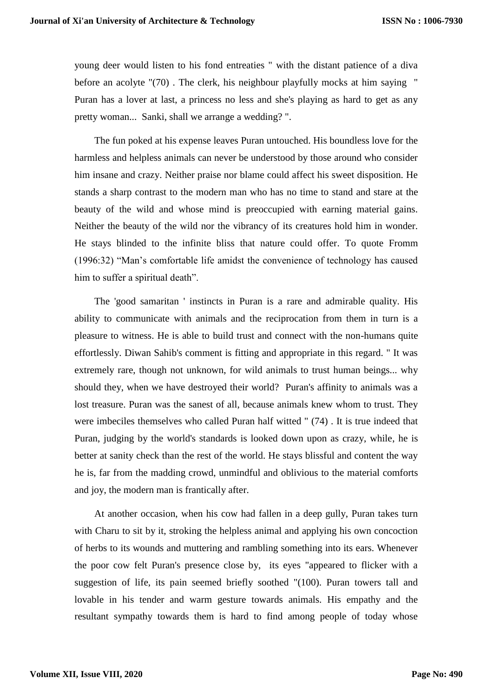young deer would listen to his fond entreaties " with the distant patience of a diva before an acolyte "(70) . The clerk, his neighbour playfully mocks at him saying " Puran has a lover at last, a princess no less and she's playing as hard to get as any pretty woman... Sanki, shall we arrange a wedding? ".

The fun poked at his expense leaves Puran untouched. His boundless love for the harmless and helpless animals can never be understood by those around who consider him insane and crazy. Neither praise nor blame could affect his sweet disposition. He stands a sharp contrast to the modern man who has no time to stand and stare at the beauty of the wild and whose mind is preoccupied with earning material gains. Neither the beauty of the wild nor the vibrancy of its creatures hold him in wonder. He stays blinded to the infinite bliss that nature could offer. To quote Fromm (1996:32) "Man's comfortable life amidst the convenience of technology has caused him to suffer a spiritual death".

The 'good samaritan ' instincts in Puran is a rare and admirable quality. His ability to communicate with animals and the reciprocation from them in turn is a pleasure to witness. He is able to build trust and connect with the non-humans quite effortlessly. Diwan Sahib's comment is fitting and appropriate in this regard. " It was extremely rare, though not unknown, for wild animals to trust human beings... why should they, when we have destroyed their world? Puran's affinity to animals was a lost treasure. Puran was the sanest of all, because animals knew whom to trust. They were imbeciles themselves who called Puran half witted " (74) . It is true indeed that Puran, judging by the world's standards is looked down upon as crazy, while, he is better at sanity check than the rest of the world. He stays blissful and content the way he is, far from the madding crowd, unmindful and oblivious to the material comforts and joy, the modern man is frantically after.

At another occasion, when his cow had fallen in a deep gully, Puran takes turn with Charu to sit by it, stroking the helpless animal and applying his own concoction of herbs to its wounds and muttering and rambling something into its ears. Whenever the poor cow felt Puran's presence close by, its eyes "appeared to flicker with a suggestion of life, its pain seemed briefly soothed "(100). Puran towers tall and lovable in his tender and warm gesture towards animals. His empathy and the resultant sympathy towards them is hard to find among people of today whose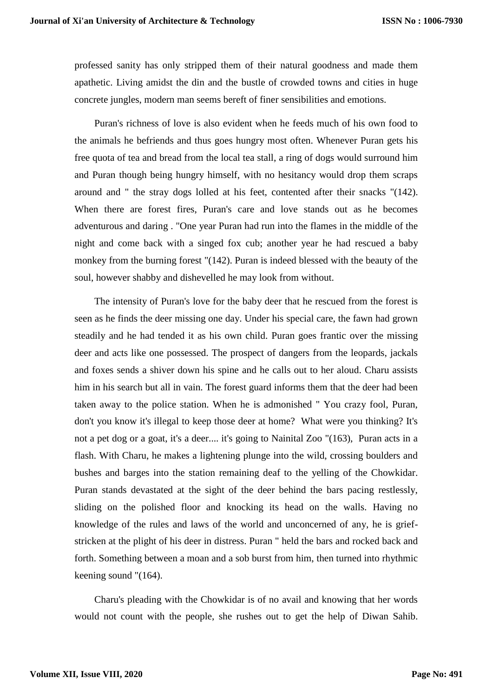professed sanity has only stripped them of their natural goodness and made them apathetic. Living amidst the din and the bustle of crowded towns and cities in huge concrete jungles, modern man seems bereft of finer sensibilities and emotions.

Puran's richness of love is also evident when he feeds much of his own food to the animals he befriends and thus goes hungry most often. Whenever Puran gets his free quota of tea and bread from the local tea stall, a ring of dogs would surround him and Puran though being hungry himself, with no hesitancy would drop them scraps around and " the stray dogs lolled at his feet, contented after their snacks "(142). When there are forest fires, Puran's care and love stands out as he becomes adventurous and daring . "One year Puran had run into the flames in the middle of the night and come back with a singed fox cub; another year he had rescued a baby monkey from the burning forest "(142). Puran is indeed blessed with the beauty of the soul, however shabby and dishevelled he may look from without.

The intensity of Puran's love for the baby deer that he rescued from the forest is seen as he finds the deer missing one day. Under his special care, the fawn had grown steadily and he had tended it as his own child. Puran goes frantic over the missing deer and acts like one possessed. The prospect of dangers from the leopards, jackals and foxes sends a shiver down his spine and he calls out to her aloud. Charu assists him in his search but all in vain. The forest guard informs them that the deer had been taken away to the police station. When he is admonished " You crazy fool, Puran, don't you know it's illegal to keep those deer at home? What were you thinking? It's not a pet dog or a goat, it's a deer.... it's going to Nainital Zoo "(163), Puran acts in a flash. With Charu, he makes a lightening plunge into the wild, crossing boulders and bushes and barges into the station remaining deaf to the yelling of the Chowkidar. Puran stands devastated at the sight of the deer behind the bars pacing restlessly, sliding on the polished floor and knocking its head on the walls. Having no knowledge of the rules and laws of the world and unconcerned of any, he is griefstricken at the plight of his deer in distress. Puran " held the bars and rocked back and forth. Something between a moan and a sob burst from him, then turned into rhythmic keening sound "(164).

Charu's pleading with the Chowkidar is of no avail and knowing that her words would not count with the people, she rushes out to get the help of Diwan Sahib.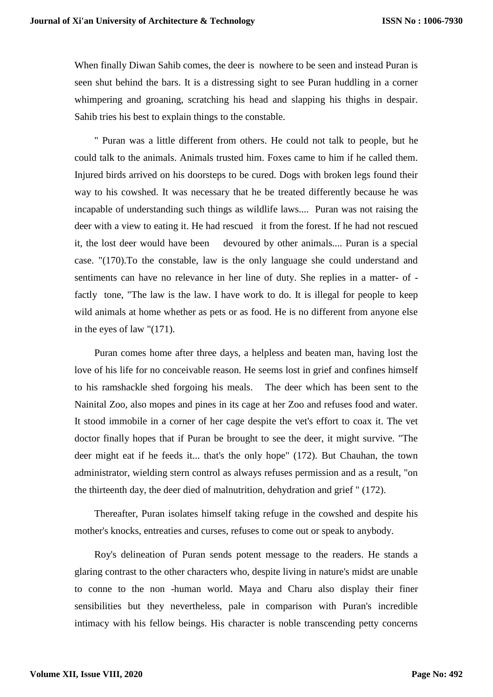When finally Diwan Sahib comes, the deer is nowhere to be seen and instead Puran is seen shut behind the bars. It is a distressing sight to see Puran huddling in a corner whimpering and groaning, scratching his head and slapping his thighs in despair. Sahib tries his best to explain things to the constable.

" Puran was a little different from others. He could not talk to people, but he could talk to the animals. Animals trusted him. Foxes came to him if he called them. Injured birds arrived on his doorsteps to be cured. Dogs with broken legs found their way to his cowshed. It was necessary that he be treated differently because he was incapable of understanding such things as wildlife laws.... Puran was not raising the deer with a view to eating it. He had rescued it from the forest. If he had not rescued it, the lost deer would have been devoured by other animals.... Puran is a special case. "(170).To the constable, law is the only language she could understand and sentiments can have no relevance in her line of duty. She replies in a matter- of factly tone, "The law is the law. I have work to do. It is illegal for people to keep wild animals at home whether as pets or as food. He is no different from anyone else in the eyes of law "(171).

Puran comes home after three days, a helpless and beaten man, having lost the love of his life for no conceivable reason. He seems lost in grief and confines himself to his ramshackle shed forgoing his meals. The deer which has been sent to the Nainital Zoo, also mopes and pines in its cage at her Zoo and refuses food and water. It stood immobile in a corner of her cage despite the vet's effort to coax it. The vet doctor finally hopes that if Puran be brought to see the deer, it might survive. "The deer might eat if he feeds it... that's the only hope" (172). But Chauhan, the town administrator, wielding stern control as always refuses permission and as a result, "on the thirteenth day, the deer died of malnutrition, dehydration and grief " (172).

Thereafter, Puran isolates himself taking refuge in the cowshed and despite his mother's knocks, entreaties and curses, refuses to come out or speak to anybody.

Roy's delineation of Puran sends potent message to the readers. He stands a glaring contrast to the other characters who, despite living in nature's midst are unable to conne to the non -human world. Maya and Charu also display their finer sensibilities but they nevertheless, pale in comparison with Puran's incredible intimacy with his fellow beings. His character is noble transcending petty concerns